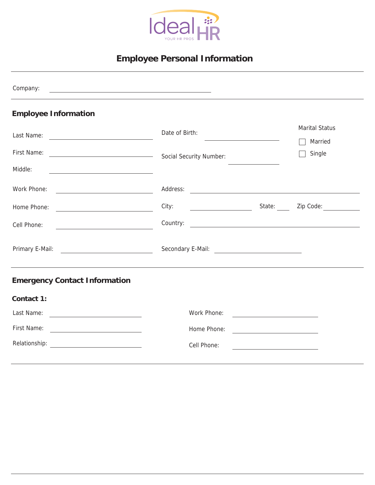

# **Employee Personal Information**

| Company:<br><u> 1999 - Johann Harry Harry Harry Harry Harry Harry Harry Harry Harry Harry Harry Harry Harry Harry Harry Harry</u>    |                                                                                                                                                                                                                               |  |  |
|--------------------------------------------------------------------------------------------------------------------------------------|-------------------------------------------------------------------------------------------------------------------------------------------------------------------------------------------------------------------------------|--|--|
| <b>Employee Information</b>                                                                                                          |                                                                                                                                                                                                                               |  |  |
|                                                                                                                                      | <b>Marital Status</b><br>Date of Birth:<br><u> 1989 - Johann Barn, mars ann an t-Amhain an t-Amhain an t-Amhain an t-Amhain an t-Amhain an t-Amhain an t-A</u><br>Married                                                     |  |  |
|                                                                                                                                      | Single                                                                                                                                                                                                                        |  |  |
| Middle:<br><u> 1989 - Andrea Stadt, fransk politik (d. 1989)</u>                                                                     |                                                                                                                                                                                                                               |  |  |
| Work Phone:<br><u> 1989 - Johann Barn, mars and de Branch Barn, mars and de Branch Barn, mars and de Branch Barn, mars and de Br</u> |                                                                                                                                                                                                                               |  |  |
| Home Phone:<br><u>and the state of the state of the state of the state</u>                                                           | City: City: City: City: City: City: City: City: Code: City: City: City: City: City: City: City: City: City: City: City: City: City: City: City: City: City: City: City: City: City: City: City: City: City: City: City: City: |  |  |
| Cell Phone:<br><u> 1989 - Johann Harry Barn, mars ar breist fan de Fryske kommunent fan de ferstjerke fan de ferstjerke fan de f</u> |                                                                                                                                                                                                                               |  |  |
| Primary E-Mail: <u>____________________________</u>                                                                                  |                                                                                                                                                                                                                               |  |  |
| <b>Emergency Contact Information</b>                                                                                                 |                                                                                                                                                                                                                               |  |  |
| Contact 1:                                                                                                                           |                                                                                                                                                                                                                               |  |  |
|                                                                                                                                      | Work Phone:                                                                                                                                                                                                                   |  |  |
|                                                                                                                                      | Home Phone:<br><u> 1999 - Johann Barn, fransk politik (d. 1989)</u>                                                                                                                                                           |  |  |
|                                                                                                                                      | Cell Phone:                                                                                                                                                                                                                   |  |  |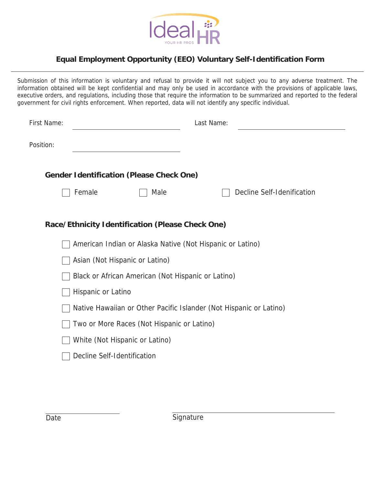

### **Equal Employment Opportunity (EEO) Voluntary Self-Identification Form**

Submission of this information is voluntary and refusal to provide it will not subject you to any adverse treatment. The information obtained will be kept confidential and may only be used in accordance with the provisions of applicable laws, executive orders, and regulations, including those that require the information to be summarized and reported to the federal government for civil rights enforcement. When reported, data will not identify any specific individual.

| First Name:                                      |                                                                    | Last Name:                 |  |  |  |
|--------------------------------------------------|--------------------------------------------------------------------|----------------------------|--|--|--|
| Position:                                        |                                                                    |                            |  |  |  |
|                                                  | <b>Gender Identification (Please Check One)</b>                    |                            |  |  |  |
|                                                  | Female<br>Male                                                     | Decline Self-Idenification |  |  |  |
|                                                  |                                                                    |                            |  |  |  |
| Race/Ethnicity Identification (Please Check One) |                                                                    |                            |  |  |  |
|                                                  | American Indian or Alaska Native (Not Hispanic or Latino)          |                            |  |  |  |
|                                                  | Asian (Not Hispanic or Latino)                                     |                            |  |  |  |
|                                                  | Black or African American (Not Hispanic or Latino)                 |                            |  |  |  |
|                                                  | Hispanic or Latino                                                 |                            |  |  |  |
|                                                  | Native Hawaiian or Other Pacific Islander (Not Hispanic or Latino) |                            |  |  |  |
|                                                  | Two or More Races (Not Hispanic or Latino)                         |                            |  |  |  |
|                                                  | White (Not Hispanic or Latino)                                     |                            |  |  |  |
|                                                  | Decline Self-Identification                                        |                            |  |  |  |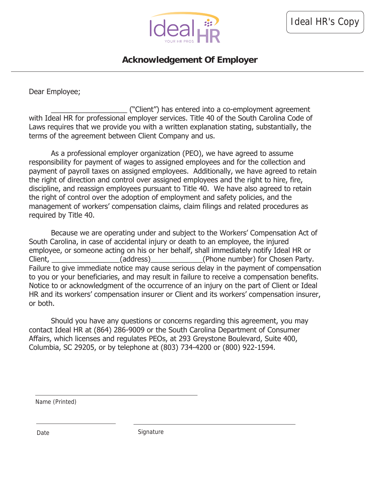

### **Acknowledgement Of Employer**

Dear Employee;

\_\_\_\_\_\_\_\_\_\_\_\_\_\_\_\_\_\_\_ ("Client") has entered into a co-employment agreement with Ideal HR for professional employer services. Title 40 of the South Carolina Code of Laws requires that we provide you with a written explanation stating, substantially, the terms of the agreement between Client Company and us.

As a professional employer organization (PEO), we have agreed to assume responsibility for payment of wages to assigned employees and for the collection and payment of payroll taxes on assigned employees. Additionally, we have agreed to retain the right of direction and control over assigned employees and the right to hire, fire, discipline, and reassign employees pursuant to Title 40. We have also agreed to retain the right of control over the adoption of employment and safety policies, and the management of workers' compensation claims, claim filings and related procedures as required by Title 40.

Because we are operating under and subject to the Workers' Compensation Act of South Carolina, in case of accidental injury or death to an employee, the injured employee, or someone acting on his or her behalf, shall immediately notify Ideal HR or Client, \_\_\_\_\_\_\_\_\_\_\_\_\_\_\_\_(address)\_\_\_\_\_\_\_\_\_\_\_\_(Phone number) for Chosen Party. Failure to give immediate notice may cause serious delay in the payment of compensation to you or your beneficiaries, and may result in failure to receive a compensation benefits. Notice to or acknowledgment of the occurrence of an injury on the part of Client or Ideal HR and its workers' compensation insurer or Client and its workers' compensation insurer, or both.

Should you have any questions or concerns regarding this agreement, you may contact Ideal HR at (864) 286-9009 or the South Carolina Department of Consumer Affairs, which licenses and regulates PEOs, at 293 Greystone Boulevard, Suite 400, Columbia, SC 29205, or by telephone at (803) 734-4200 or (800) 922-1594.

Name (Printed)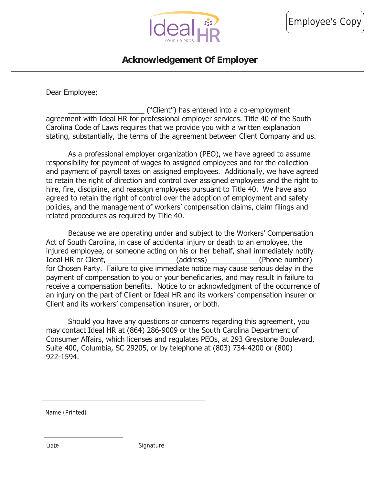

### **Acknowledgement Of Employer**

Dear Employee;

\_\_\_\_\_\_\_\_\_\_\_\_\_\_\_\_\_\_\_ ("Client") has entered into a co-employment agreement with Ideal HR for professional employer services. Title 40 of the South Carolina Code of Laws requires that we provide you with a written explanation stating, substantially, the terms of the agreement between Client Company and us.

As a professional employer organization (PEO), we have agreed to assume responsibility for payment of wages to assigned employees and for the collection and payment of payroll taxes on assigned employees. Additionally, we have agreed to retain the right of direction and control over assigned employees and the right to hire, fire, discipline, and reassign employees pursuant to Title 40. We have also agreed to retain the right of control over the adoption of employment and safety policies, and the management of workers' compensation claims, claim filings and related procedures as required by Title 40.

Because we are operating under and subject to the Workers' Compensation Act of South Carolina, in case of accidental injury or death to an employee, the injured employee, or someone acting on his or her behalf, shall immediately notify Ideal HR or Client, The Client (address) (and the control of the number) for Chosen Party. Failure to give immediate notice may cause serious delay in the payment of compensation to you or your beneficiaries, and may result in failure to receive a compensation benefits. Notice to or acknowledgment of the occurrence of an injury on the part of Client or Ideal HR and its workers' compensation insurer or Client and its workers' compensation insurer, or both.

Should you have any questions or concerns regarding this agreement, you may contact Ideal HR at (864) 286-9009 or the South Carolina Department of Consumer Affairs, which licenses and regulates PEOs, at 293 Greystone Boulevard, Suite 400, Columbia, SC 29205, or by telephone at (803) 734-4200 or (800) 922-1594.

Name (Printed)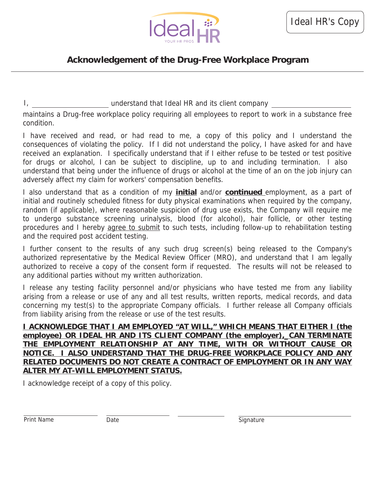

# **Acknowledgement of the Drug-Free Workplace Program**

I, the state of the understand that Ideal HR and its client company

maintains a Drug-free workplace policy requiring all employees to report to work in a substance free condition.

I have received and read, or had read to me, a copy of this policy and I understand the consequences of violating the policy. If I did not understand the policy, I have asked for and have received an explanation. I specifically understand that if I either refuse to be tested or test positive for drugs or alcohol, I can be subject to discipline, up to and including termination. I also understand that being under the influence of drugs or alcohol at the time of an on the job injury can adversely affect my claim for workers' compensation benefits.

I also understand that as a condition of my **initial** and/or **continued** employment, as a part of initial and routinely scheduled fitness for duty physical examinations when required by the company, random (if applicable), where reasonable suspicion of drug use exists, the Company will require me to undergo substance screening urinalysis, blood (for alcohol), hair follicle, or other testing procedures and I hereby agree to submit to such tests, including follow-up to rehabilitation testing and the required post accident testing.

I further consent to the results of any such drug screen(s) being released to the Company's authorized representative by the Medical Review Officer (MRO), and understand that I am legally authorized to receive a copy of the consent form if requested. The results will not be released to any additional parties without my written authorization.

I release any testing facility personnel and/or physicians who have tested me from any liability arising from a release or use of any and all test results, written reports, medical records, and data concerning my test(s) to the appropriate Company officials. I further release all Company officials from liability arising from the release or use of the test results.

**I ACKNOWLEDGE THAT I AM EMPLOYED "AT WILL," WHICH MEANS THAT EITHER I (the employee) OR IDEAL HR AND ITS CLIENT COMPANY (the employer),\_CAN TERMINATE THE EMPLOYMENT RELATIONSHIP AT ANY TIME, WITH OR WITHOUT CAUSE OR NOTICE. I ALSO UNDERSTAND THAT THE DRUG-FREE WORKPLACE POLICY AND ANY RELATED DOCUMENTS DO NOT CREATE A CONTRACT OF EMPLOYMENT OR IN ANY WAY ALTER MY AT-WILL EMPLOYMENT STATUS.** 

I acknowledge receipt of a copy of this policy.

Print Name **Date Date Signature** Signature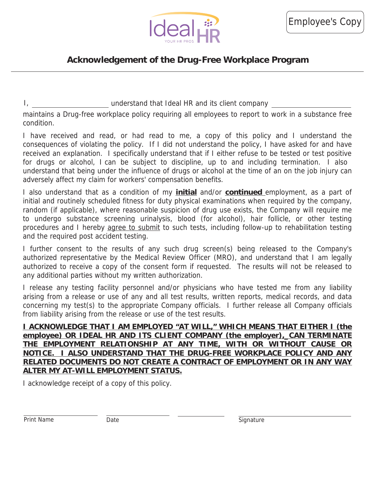

### **Acknowledgement of the Drug-Free Workplace Program**

I, the state of the understand that Ideal HR and its client company

maintains a Drug-free workplace policy requiring all employees to report to work in a substance free condition.

I have received and read, or had read to me, a copy of this policy and I understand the consequences of violating the policy. If I did not understand the policy, I have asked for and have received an explanation. I specifically understand that if I either refuse to be tested or test positive for drugs or alcohol, I can be subject to discipline, up to and including termination. I also understand that being under the influence of drugs or alcohol at the time of an on the job injury can adversely affect my claim for workers' compensation benefits.

I also understand that as a condition of my **initial** and/or **continued** employment, as a part of initial and routinely scheduled fitness for duty physical examinations when required by the company, random (if applicable), where reasonable suspicion of drug use exists, the Company will require me to undergo substance screening urinalysis, blood (for alcohol), hair follicle, or other testing procedures and I hereby agree to submit to such tests, including follow-up to rehabilitation testing and the required post accident testing.

I further consent to the results of any such drug screen(s) being released to the Company's authorized representative by the Medical Review Officer (MRO), and understand that I am legally authorized to receive a copy of the consent form if requested. The results will not be released to any additional parties without my written authorization.

I release any testing facility personnel and/or physicians who have tested me from any liability arising from a release or use of any and all test results, written reports, medical records, and data concerning my test(s) to the appropriate Company officials. I further release all Company officials from liability arising from the release or use of the test results.

**I ACKNOWLEDGE THAT I AM EMPLOYED "AT WILL," WHICH MEANS THAT EITHER I (the employee) OR IDEAL HR AND ITS CLIENT COMPANY (the employer),\_CAN TERMINATE THE EMPLOYMENT RELATIONSHIP AT ANY TIME, WITH OR WITHOUT CAUSE OR NOTICE. I ALSO UNDERSTAND THAT THE DRUG-FREE WORKPLACE POLICY AND ANY RELATED DOCUMENTS DO NOT CREATE A CONTRACT OF EMPLOYMENT OR IN ANY WAY ALTER MY AT-WILL EMPLOYMENT STATUS.** 

I acknowledge receipt of a copy of this policy.

Print Name **Date Date Signature** Signature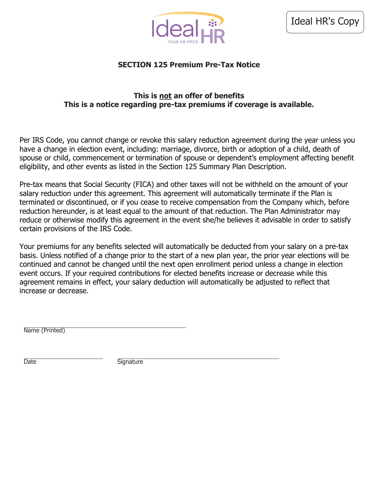

### **SECTION 125 Premium Pre-Tax Notice**

#### **This is not an offer of benefits This is a notice regarding pre-tax premiums if coverage is available.**

Per IRS Code, you cannot change or revoke this salary reduction agreement during the year unless you have a change in election event, including: marriage, divorce, birth or adoption of a child, death of spouse or child, commencement or termination of spouse or dependent's employment affecting benefit eligibility, and other events as listed in the Section 125 Summary Plan Description.

Pre-tax means that Social Security (FICA) and other taxes will not be withheld on the amount of your salary reduction under this agreement. This agreement will automatically terminate if the Plan is terminated or discontinued, or if you cease to receive compensation from the Company which, before reduction hereunder, is at least equal to the amount of that reduction. The Plan Administrator may reduce or otherwise modify this agreement in the event she/he believes it advisable in order to satisfy certain provisions of the IRS Code.

Your premiums for any benefits selected will automatically be deducted from your salary on a pre-tax basis. Unless notified of a change prior to the start of a new plan year, the prior year elections will be continued and cannot be changed until the next open enrollment period unless a change in election event occurs. If your required contributions for elected benefits increase or decrease while this agreement remains in effect, your salary deduction will automatically be adjusted to reflect that increase or decrease.

Name (Printed)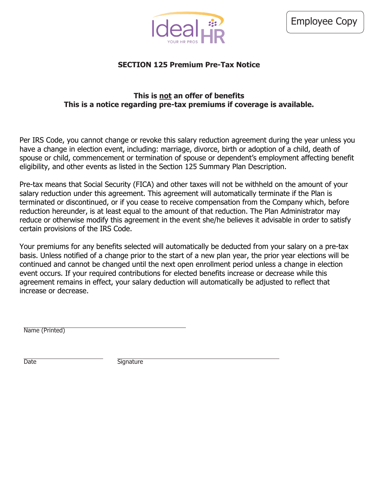

### **SECTION 125 Premium Pre-Tax Notice**

#### **This is not an offer of benefits This is a notice regarding pre-tax premiums if coverage is available.**

Per IRS Code, you cannot change or revoke this salary reduction agreement during the year unless you have a change in election event, including: marriage, divorce, birth or adoption of a child, death of spouse or child, commencement or termination of spouse or dependent's employment affecting benefit eligibility, and other events as listed in the Section 125 Summary Plan Description.

Pre-tax means that Social Security (FICA) and other taxes will not be withheld on the amount of your salary reduction under this agreement. This agreement will automatically terminate if the Plan is terminated or discontinued, or if you cease to receive compensation from the Company which, before reduction hereunder, is at least equal to the amount of that reduction. The Plan Administrator may reduce or otherwise modify this agreement in the event she/he believes it advisable in order to satisfy certain provisions of the IRS Code.

Your premiums for any benefits selected will automatically be deducted from your salary on a pre-tax basis. Unless notified of a change prior to the start of a new plan year, the prior year elections will be continued and cannot be changed until the next open enrollment period unless a change in election event occurs. If your required contributions for elected benefits increase or decrease while this agreement remains in effect, your salary deduction will automatically be adjusted to reflect that increase or decrease.

Name (Printed)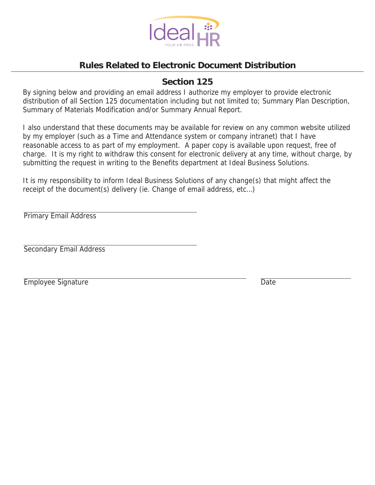

# **Rules Related to Electronic Document Distribution**

### **Section 125**

By signing below and providing an email address I authorize my employer to provide electronic distribution of all Section 125 documentation including but not limited to; Summary Plan Description, Summary of Materials Modification and/or Summary Annual Report.

I also understand that these documents may be available for review on any common website utilized by my employer (such as a Time and Attendance system or company intranet) that I have reasonable access to as part of my employment. A paper copy is available upon request, free of charge. It is my right to withdraw this consent for electronic delivery at any time, without charge, by submitting the request in writing to the Benefits department at Ideal Business Solutions.

It is my responsibility to inform Ideal Business Solutions of any change(s) that might affect the receipt of the document(s) delivery (ie. Change of email address, etc…)

Primary Email Address

Secondary Email Address

Employee Signature Date